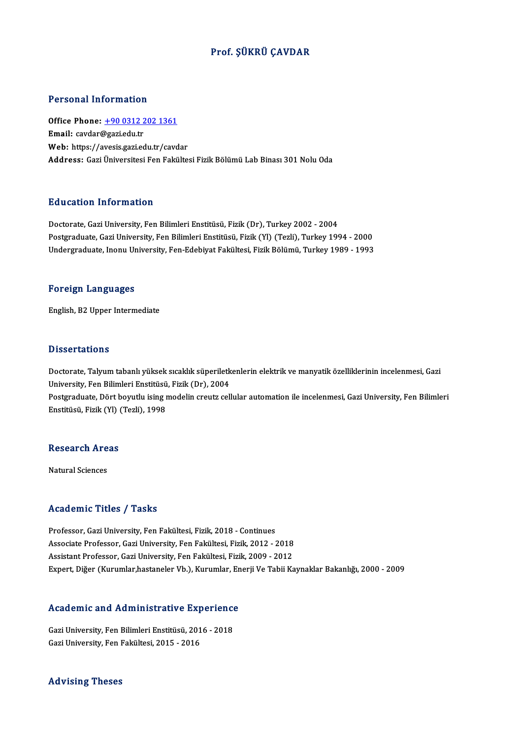#### Prof. ŞÜKRÜ ÇAVDAR

#### Personal Information

Personal Information<br>Office Phone: <u>+90 0312 202 1361</u><br>Email: caydar@cagiedu tr Ferred Harry Harry<br>Office Phone: <u>+90 0312 2</u><br>Email: cavdar@gazi.edu.tr Office Phone: <u>+90 0312 202 1361</u><br>Email: cavdar@gazi.edu.tr<br>Web: https://a[vesis.gazi.edu.tr/cavd](tel:+90 0312 202 1361)ar<br>Addressy Cari Universitesi Een Felsilte Email: cavdar@gazi.edu.tr<br>Web: https://avesis.gazi.edu.tr/cavdar<br>Address: Gazi Üniversitesi Fen Fakültesi Fizik Bölümü Lab Binası 301 Nolu Oda

#### Education Information

Doctorate, Gazi University, Fen Bilimleri Enstitüsü, Fizik (Dr), Turkey 2002 - 2004 Postgraduate, Gazi University, Fen Bilimleri Enstitüsü, Fizik (Yl) (Tezli), Turkey 1994 - 2000 Undergraduate, Inonu University, Fen-Edebiyat Fakültesi, Fizik Bölümü, Turkey 1989 - 1993

#### Foreign Languages

English,B2Upper Intermediate

#### **Dissertations**

Doctorate, Talyum tabanlı yüksek sıcaklık süperiletkenlerin elektrik ve manyatik özelliklerinin incelenmesi, Gazi University, Fen Bilimleri Enstitüsü, Fizik (Dr), 2004 Doctorate, Talyum tabanlı yüksek sıcaklık süperiletkenlerin elektrik ve manyatik özelliklerinin incelenmesi, Gazi<br>University, Fen Bilimleri Enstitüsü, Fizik (Dr), 2004<br>Postgraduate, Dört boyutlu ising modelin creutz cellul

University, Fen Bilimleri Enstitüsü<br>Postgraduate, Dört boyutlu ising r<br>Enstitüsü, Fizik (Yl) (Tezli), 1998

# ensulusu, rizik (11) (<br>Research Areas <mark>Research Are</mark><br>Natural Sciences

# Natural Sciences<br>Academic Titles / Tasks

Professor, Gazi University, Fen Fakültesi, Fizik, 2018 - Continues -<br>Professor, Gazi University, Fen Fakültesi, Fizik, 2018 - Continues<br>Associate Professor, Gazi University, Fen Fakültesi, Fizik, 2012 - 2018<br>Assistant Professor, Cari University, Fen Fakültesi, Fizik, 2009, 2012 Professor, Gazi University, Fen Fakültesi, Fizik, 2018 - Continues<br>Associate Professor, Gazi University, Fen Fakültesi, Fizik, 2012 - 2018<br>Assistant Professor, Gazi University, Fen Fakültesi, Fizik, 2009 - 2012<br>Evnert, Diž Assistant Professor, Gazi University, Fen Fakültesi, Fizik, 2009 - 2012<br>Expert, Diğer (Kurumlar,hastaneler Vb.), Kurumlar, Enerji Ve Tabii Kaynaklar Bakanlığı, 2000 - 2009

# expert, Diger (Kurumiar, hastaneler vb.), Kurumiar, En<br>Academic and Administrative Experience

Academic and Administrative Experience<br>Gazi University, Fen Bilimleri Enstitüsü, 2016 - 2018<br>Cari University, Fen Felsültesi, 2015 - 2016 Gazi University, Fen Bilimleri Enstitüsü, 2016 - 2018<br>Gazi University, Fen Fakültesi, 2015 - 2016

Advising Theses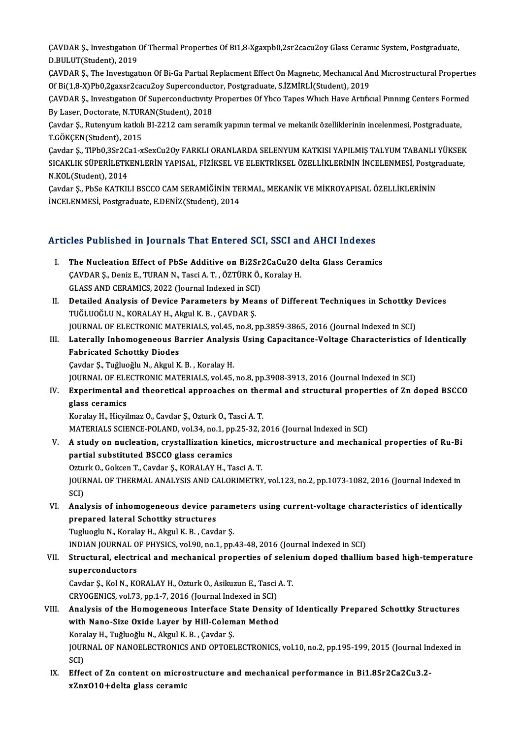ÇAVDAR Ş., Investıgatıon Of Thermal Properties Of Bi1,8-Xgaxpb0,2sr2cacu2oy Glass Ceramic System, Postgraduate,<br>P.P.U. UTCStudent), 2019 CAVDAR Ş., Investigation<br>D.BULUT(Student), 2019<br>CAVDAR S. The Investigat ÇAVDAR Ş., Investıgatıon Of Thermal Properties Of Bi1,8-Xgaxpb0,2sr2cacu2oy Glass Ceramic System, Postgraduate,<br>D.BULUT(Student), 2019<br>ÇAVDAR Ş., The Investigation Of Bi-Ga Partial Replacment Effect On Magnetic, Mechanical

D.BULUT(Student), 2019<br>ÇAVDAR Ş., The Investigation Of Bi-Ga Partial Replacment Effect On Magnetic, Mechanical Ar<br>Of Bi(1,8-X)Pb0,2gaxsr2cacu2oy Superconductor, Postgraduate, S.İZMİRLİ(Student), 2019<br>CAVDAR S. Investigatio ÇAVDAR Ş., The Investigation Of Bi-Ga Partial Replacment Effect On Magnetic, Mechanical And Microstructural Propertie<br>Of Bi(1,8-X)Pb0,2gaxsr2cacu2oy Superconductor, Postgraduate, S.İZMİRLİ(Student), 2019<br>ÇAVDAR Ş., Investi

Of Bi(1,8-X)Pb0,2gaxsr2cacu2oy Superconduct<br>ÇAVDAR Ş., Investigation Of Superconductivity<br>By Laser, Doctorate, N.TURAN(Student), 2018<br>Cavdar S., Butanyum katlalı BI 2212.cam saram ÇAVDAR Ş., Investigation Of Superconductivity Properties Of Ybco Tapes Which Have Artificial Pinning Centers Forme<br>By Laser, Doctorate, N.TURAN(Student), 2018<br>Çavdar Ş., Rutenyum katkılı BI-2212 cam seramik yapının termal

By Laser, Doctorate, N.TURAN(Student), 2018<br>Çavdar Ş., Rutenyum katkılı BI-2212 cam seramik yapının termal ve mekanik özelliklerinin incelenmesi, Postgraduate,<br>T.GÖKÇEN(Student), 2015 Çavdar Ş., Rutenyum katkılı BI-2212 cam seramik yapının termal ve mekanik özelliklerinin incelenmesi, Postgraduate,<br>T.GÖKÇEN(Student), 2015<br>Çavdar Ş., TIPb0,3Sr2Ca1-xSexCu2Oy FARKLI ORANLARDA SELENYUM KATKISI YAPILMIŞ TALY

T.GÖKÇEN(Student), 2015<br>Çavdar Ş., TİPb0,3Sr2Ca1-xSexCu2Oy FARKLI ORANLARDA SELENYUM KATKISI YAPILMIŞ TALYUM TABANLI YÜKSEK<br>SICAKLIK SÜPERİLETKENLERİN YAPISAL, FİZİKSEL VE ELEKTRİKSEL ÖZELLİKLERİNİN İNCELENMESİ, Postgradua Çavdar Ş., TlPb0,3Sr2C:<br>SICAKLIK SÜPERİLETK<br>N.KOL(Student), 2014<br>Cavdar S., PbSe KATKU SICAKLIK SÜPERİLETKENLERİN YAPISAL, FİZİKSEL VE ELEKTRİKSEL ÖZELLİKLERİNİN İNCELENMESİ, Postgraduate,<br>N.KOL(Student), 2014<br>Çavdar Ş., PbSe KATKILI BSCCO CAM SERAMİĞİNİN TERMAL, MEKANİK VE MİKROYAPISAL ÖZELLİKLERİNİN<br>İNCELE

Cavdar S., PbSe KATKILI BSCCO CAM SERAMİĞİNİN TERMAL, MEKANİK VE MİKROYAPISAL ÖZELLİKLERİNİN

#### Articles Published in Journals That Entered SCI, SSCI and AHCI Indexes

- rticles Published in Journals That Entered SCI, SSCI and AHCI Indexes<br>I. The Nucleation Effect of PbSe Additive on Bi2Sr2CaCu2O delta Glass Ceramics<br>CAVDARS, Doniz E. TURAN N. Toggi A. T. ÖZTÜRKÖ, Korolay H The Nucleation Effect of PbSe Additive on Bi2Sr2CaCu2O<br>CAVDAR S., Deniz E., TURAN N., Tasci A. T. , ÖZTÜRKÖ., Koralay H. The Nucleation Effect of PbSe Additive on Bi2Sr:<br>CAVDAR S., Deniz E., TURAN N., Tasci A. T. , ÖZTÜRK Ö.,<br>GLASS AND CERAMICS, 2022 (Journal Indexed in SCI)<br>Detailed Analysis of Devise Parameters by Mean CAVDAR Ș., Deniz E., TURAN N., Tasci A. T. , ÖZTÜRK Ö., Koralay H.<br>GLASS AND CERAMICS, 2022 (Journal Indexed in SCI)<br>II. Detailed Analysis of Device Parameters by Means of Different Techniques in Schottky Devices<br>TUČLUQČLU
- GLASS AND CERAMICS, 2022 (Journal Indexed in SCI)<br>Detailed Analysis of Device Parameters by Means of Different Techniques in Schottky |<br>TUĞLUOĞLU N., KORALAY H., Akgul K.B. , ÇAVDAR Ş.<br>JOURNAL OF ELECTRONIC MATERIALS, vol. Detailed Analysis of Device Parameters by Means of Different Techniques in Schottky l<br>TUĞLUOĞLU N., KORALAY H., Akgul K. B. , ÇAVDAR Ş.<br>JOURNAL OF ELECTRONIC MATERIALS, vol.45, no.8, pp.3859-3865, 2016 (Journal Indexed in TUĞLUOĞLU N., KORALAY H., Akgul K. B. , ÇAVDAR Ş.<br>JOURNAL OF ELECTRONIC MATERIALS, vol.45, no.8, pp.3859-3865, 2016 (Journal Indexed in SCI)<br>III. Laterally Inhomogeneous Barrier Analysis Using Capacitance-Voltage Chara
- **JOURNAL OF ELECTRONIC MAT<br>Laterally Inhomogeneous B<br>Fabricated Schottky Diodes<br>Caydar S. Tuğluoğlu N. Akgul K** Laterally Inhomogeneous Barrier Analysi<br>Fabricated Schottky Diodes<br>Çavdar Ş., Tuğluoğlu N., Akgul K. B. , Koralay H.<br>JOUPNAL OF ELECTRONIC MATERIALS vol 45

Fabricated Schottky Diodes<br>Çavdar Ş., Tuğluoğlu N., Akgul K. B. , Koralay H.<br>JOURNAL OF ELECTRONIC MATERIALS, vol.45, no.8, pp.3908-3913, 2016 (Journal Indexed in SCI)<br>Experimental and theoratical annuacabes on thermal and

Cavdar Ş., Tuğluoğlu N., Akgul K. B. , Koralay H.<br>JOURNAL OF ELECTRONIC MATERIALS, vol.45, no.8, pp.3908-3913, 2016 (Journal Indexed in SCI)<br>IV. Experimental and theoretical approaches on thermal and structural properties JOURNAL OF ELE<br><mark>Experimental a</mark><br>glass ceramics<br><sup>Konolou H. Higri</sup> glass ceramics<br>Koralay H., Hicyilmaz O., Cavdar Ş., Ozturk O., Tasci A. T.<br>MATERIALS SCIENCE-POLAND, vol.34, no.1, pp.25-32, 2016 (Journal Indexed in SCI)<br>A study on nucleation, exystallization kineties, mispostrusture and

Koralay H., Hicyilmaz O., Cavdar Ş., Ozturk O., Tasci A.T.

- Koralay H., Hicyilmaz O., Cavdar Ş., Ozturk O., Tasci A. T.<br>MATERIALS SCIENCE-POLAND, vol.34, no.1, pp.25-32, 2016 (Journal Indexed in SCI)<br>V. A study on nucleation, crystallization kinetics, microstructure and mechanical MATERIALS SCIENCE-POLAND, vol.34, no.1, pp<br>A study on nucleation, crystallization kino<br>partial substituted BSCCO glass ceramics A study on nucleation, crystallization kinetics, m<br>partial substituted BSCCO glass ceramics<br>Ozturk O., Gokcen T., Cavdar Ş., KORALAY H., Tasci A. T.<br>JOUPNAL OF THEPMAL ANALYSIS AND CALOPIMETPY partial substituted BSCCO glass ceramics<br>Ozturk O., Gokcen T., Cavdar Ş., KORALAY H., Tasci A. T.<br>JOURNAL OF THERMAL ANALYSIS AND CALORIMETRY, vol.123, no.2, pp.1073-1082, 2016 (Journal Indexed in<br>SCD Oztui<br>JOUR<br>SCI)<br>Anal JOURNAL OF THERMAL ANALYSIS AND CALORIMETRY, vol.123, no.2, pp.1073-1082, 2016 (Journal Indexed in<br>SCI)<br>VI. Analysis of inhomogeneous device parameters using current-voltage characteristics of identically<br>proposed lateral
- SCI)<br>VI. Analysis of inhomogeneous device parameters using current-voltage characteristics of identically<br>prepared lateral Schottky structures prepared lateral Schottky structures<br>Tugluoglu N., Koralay H., Akgul K. B. , Cavdar Ş.<br>INDIAN JOURNAL OF PHYSICS, vol.90, no.1, pp.43-48, 2016 (Journal Indexed in SCI)<br>Structural, electrical and mechanical properties of se

Tugluoglu N., Koralay H., Akgul K. B., Cavdar Ş.

Tugluoglu N., Koralay H., Akgul K. B. , Cavdar Ş.<br>INDIAN JOURNAL OF PHYSICS, vol.90, no.1, pp.43-48, 2016 (Journal Indexed in SCI)<br>VII. Structural, electrical and mechanical properties of selenium doped thallium based INDIAN JOURNAL O<br>Structural, electri<br>superconductors<br>Caydar S. Kal N. KG Structural, electrical and mechanical properties of selen<br>superconductors<br>Cavdar Ş., Kol N., KORALAY H., Ozturk O., Asikuzun E., Tasci A. T.<br>CPVOCENICS, vol 72, nn 1, 7, 2016 (Journal Indoved in SCI)

superconductors<br>Cavdar Ş., Kol N., KORALAY H., Ozturk O., Asikuzun E., Tasci A. T.<br>CRYOGENICS, vol.73, pp.1-7, 2016 (Journal Indexed in SCI)

- Cavdar Ş., Kol N., KORALAY H., Ozturk O., Asikuzun E., Tasci A. T.<br>CRYOGENICS, vol.73, pp.1-7, 2016 (Journal Indexed in SCI)<br>VIII. Analysis of the Homogeneous Interface State Density of Identically Prepared Schottky Struct CRYOGENICS, vol.73, pp.1-7, 2016 (Journal Indexed in SCI)<br>Analysis of the Homogeneous Interface State Density<br>with Nano-Size Oxide Layer by Hill-Coleman Method<br>Karaky H. Tuğluoğlu N. Akgul K. B. Caydar S. Analysis of the Homogeneous Interface S<br>with Nano-Size Oxide Layer by Hill-Colem<br>Koralay H., Tuğluoğlu N., Akgul K. B. , Çavdar Ş.<br>JOUPNAL OF NANOELECTPONICS AND OPTOEL with Nano-Size Oxide Layer by Hill-Coleman Method<br>Koralay H., Tuğluoğlu N., Akgul K. B. , Çavdar Ş.<br>JOURNAL OF NANOELECTRONICS AND OPTOELECTRONICS, vol.10, no.2, pp.195-199, 2015 (Journal Indexed in<br>SCD Kora<br>JOUR<br>SCI)<br>Effe JOURNAL OF NANOELECTRONICS AND OPTOELECTRONICS, vol.10, no.2, pp.195-199, 2015 (Journal Ind<br>SCI)<br>IX. Effect of Zn content on microstructure and mechanical performance in Bi1.8Sr2Ca2Cu3.2-
- SCI)<br>IX. Effect of Zn content on microstructure and mechanical performance in Bi1.8Sr2Ca2Cu3.2-<br>xZnxO10+delta glass ceramic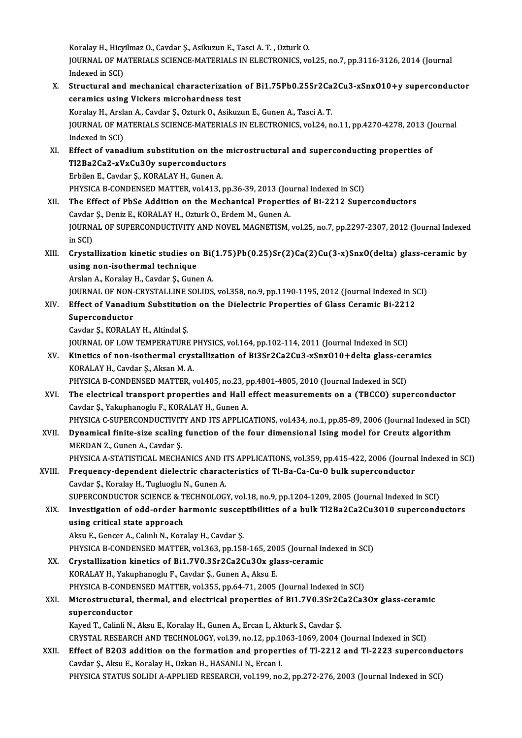Koralay H., Hicyilmaz O., Cavdar Ş., Asikuzun E., Tasci A. T., Ozturk O. Koralay H., Hicyilmaz O., Cavdar Ş., Asikuzun E., Tasci A. T. , Ozturk O.<br>JOURNAL OF MATERIALS SCIENCE-MATERIALS IN ELECTRONICS, vol.25, no.7, pp.3116-3126, 2014 (Journal Koralay H., Hicy<br>JOURNAL OF MA<br>Indexed in SCI)<br>Structural and

- JOURNAL OF MATERIALS SCIENCE-MATERIALS IN ELECTRONICS, vol.25, no.7, pp.3116-3126, 2014 (Journal<br>Indexed in SCI)<br>X. Structural and mechanical characterization of Bi1.75Pb0.25Sr2Ca2Cu3-xSnxO10+y superconductor<br>conomics usin Indexed in SCI)<br>Structural and mechanical characterization<br>ceramics using Vickers microhardness test<br>Koralay H. Arelan A. Gaydar S. Orturk O. Asilaya Structural and mechanical characterization of Bi1.75Pb0.25Sr2Ca<br>ceramics using Vickers microhardness test<br>Koralay H., Arslan A., Cavdar Ş., Ozturk O., Asikuzun E., Gunen A., Tasci A. T.<br>JOUPMAL OE MATERIALS SCIENCE MATERIA ceramics using Vickers microhardness test<br>Koralay H., Arslan A., Cavdar Ș., Ozturk O., Asikuzun E., Gunen A., Tasci A. T.<br>JOURNAL OF MATERIALS SCIENCE-MATERIALS IN ELECTRONICS, vol.24, no.11, pp.4270-4278, 2013 (Journal<br>In Koralay H., Arsl:<br>JOURNAL OF M.<br>Indexed in SCI)<br>Effect of vana JOURNAL OF MATERIALS SCIENCE-MATERIALS IN ELECTRONICS, vol.24, no.11, pp.4270-4278, 2013 (J.<br>Indexed in SCI)<br>XI. Effect of vanadium substitution on the microstructural and superconducting properties of<br>T12B22C23 xVxCy2Oy s Indexed in SCI)<br>Effect of vanadium substitution on the r<br>Tl2Ba2Ca2-xVxCu3Oy superconductors<br>Erbilon E. Caydar S. KOPALAY H. Gunan A Effect of vanadium substitution on the<br>Tl2Ba2Ca2-xVxCu3Oy superconductor:<br>Erbilen E., Cavdar Ş., KORALAY H., Gunen A.<br>PHYSICA P. CONDENSED MATTER, vol.413 T12Ba2Ca2-xVxCu3Oy superconductors<br>Erbilen E., Cavdar Ş., KORALAY H., Gunen A.<br>PHYSICA B-CONDENSED MATTER, vol.413, pp.36-39, 2013 (Journal Indexed in SCI) XII. The Effect of PbSe Addition on the Mechanical Properties of Bi-2212 Superconductors PHYSICA B-CONDENSED MATTER, vol.413, pp.36-39, 2013 (Journal Propertical Propertical Propertical Propertical Propertical Propertical Propertical Propertical Propertical Propertical Propertical Propertical Propertical Prope JOURNAL OF SUPERCONDUCTIVITY AND NOVEL MAGNETISM, vol.25, no.7, pp.2297-2307, 2012 (Journal Indexed in SCI) Cavdar<br>JOURNA<br>in SCI)<br>Crusta JOURNAL OF SUPERCONDUCTIVITY AND NOVEL MAGNETISM, vol.25, no.7, pp.2297-2307, 2012 (Journal Indexed<br>in SCI)<br>XIII. Crystallization kinetic studies on Bi(1.75)Pb(0.25)Sr(2)Ca(2)Cu(3-x)SnxO(delta) glass-ceramic by<br>uging non-j in SCI)<br>Crystallization kinetic studies on<br>using non-isothermal technique<br>Arelan A. Karelau H. Gaudar S. Gung Crystallization kinetic studies on Bi(<br>using non-isothermal technique<br>Arslan A., Koralay H., Cavdar Ş., Gunen A.<br>JOUPMAL OF NON CRYSTALLINE SOLIDS using non-isothermal technique<br>Arslan A., Koralay H., Cavdar Ş., Gunen A.<br>JOURNAL OF NON-CRYSTALLINE SOLIDS, vol.358, no.9, pp.1190-1195, 2012 (Journal Indexed in SCI)<br>Effect of Vanadium Substitution on the Dielectric Prop Arslan A., Koralay H., Cavdar Ş., Gunen A.<br>JOURNAL OF NON-CRYSTALLINE SOLIDS, vol.358, no.9, pp.1190-1195, 2012 (Journal Indexed in St.<br>XIV. Effect of Vanadium Substitution on the Dielectric Properties of Glass Ceramic Bi-**JOURNAL OF NON-<br>Effect of Vanadii<br>Superconductor**<br>Caydar S. KOPALA XIV. Effect of Vanadium Substitution on the Dielectric Properties of Glass Ceramic Bi-2212<br>Superconductor<br>Cavdar Ş., KORALAY H., Altindal Ş. Superconductor<br>Cavdar Ş., KORALAY H., Altindal Ş.<br>JOURNAL OF LOW TEMPERATURE PHYSICS, vol.164, pp.102-114, 2011 (Journal Indexed in SCI)<br>Kinetics of non-isothermal crystallization of Bi2Sr2Ca2Cu2, rSarQ10 Ldelta slass, ser Cavdar Ş., KORALAY H., Altindal Ş.<br>JOURNAL OF LOW TEMPERATURE PHYSICS, vol.164, pp.102-114, 2011 (Journal Indexed in SCI)<br>XV. Kinetics of non-isothermal crystallization of Bi3Sr2Ca2Cu3-xSnxO10+delta glass-ceramics<br>KORALAY **JOURNAL OF LOW TEMPERATURE I<br>Kinetics of non-isothermal crys<br>KORALAY H., Cavdar Ş., Aksan M. A.<br>PHYSICA P. CONDENSED MATTED .** Kinetics of non-isothermal crystallization of Bi3Sr2Ca2Cu3-xSnx010+delta glass-cer<br>KORALAY H., Cavdar Ş., Aksan M. A.<br>PHYSICA B-CONDENSED MATTER, vol.405, no.23, pp.4801-4805, 2010 (Journal Indexed in SCI)<br>The electrical t KORALAY H., Cavdar Ş., Aksan M. A.<br>PHYSICA B-CONDENSED MATTER, vol.405, no.23, pp.4801-4805, 2010 (Journal Indexed in SCI)<br>XVI. The electrical transport properties and Hall effect measurements on a (TBCCO) superconduct
- Cavdar Ş.,Yakuphanoglu F.,KORALAYH.,GunenA. The electrical transport properties and Hall effect measurements on a (TBCCO) superconductor<br>Cavdar Ş., Yakuphanoglu F., KORALAY H., Gunen A.<br>PHYSICA C-SUPERCONDUCTIVITY AND ITS APPLICATIONS, vol.434, no.1, pp.85-89, 2006 Cavdar Ş., Yakuphanoglu F., KORALAY H., Gunen A.<br>PHYSICA C-SUPERCONDUCTIVITY AND ITS APPLICATIONS, vol.434, no.1, pp.85-89, 2006 (Journal Indexed in<br>XVII. Dynamical finite-size scaling function of the four dimensional Isin
- PHYSICA C-SUPERCONDUCTIVIT<br>Dynamical finite-size scaling<br>MERDAN Z., Gunen A., Cavdar Ş.<br>PHYSICA A STATISTICAL MECH/ Dynamical finite-size scaling function of the four dimensional Ising model for Creutz algorithm<br>MERDAN Z., Gunen A., Cavdar Ş.<br>PHYSICA A-STATISTICAL MECHANICS AND ITS APPLICATIONS, vol.359, pp.415-422, 2006 (Journal Indexe MERDAN Z., Gunen A., Cavdar Ş.<br>PHYSICA A-STATISTICAL MECHANICS AND ITS APPLICATIONS, vol.359, pp.415-422, 2006 (Journa<br>XVIII. Frequency-dependent dielectric characteristics of Tl-Ba-Ca-Cu-O bulk superconductor<br>Caydan S. Ka

## PHYSICA A-STATISTICAL MECHANICS AND IT<br>Frequency-dependent dielectric charac<br>Cavdar Ş., Koralay H., Tugluoglu N., Gunen A.<br>SUPERCONDUCTOR SCIENCE & TECHNOLOC. Frequency-dependent dielectric characteristics of Tl-Ba-Ca-Cu-O bulk superconductor<br>Cavdar Ş., Koralay H., Tugluoglu N., Gunen A.<br>SUPERCONDUCTOR SCIENCE & TECHNOLOGY, vol.18, no.9, pp.1204-1209, 2005 (Journal Indexed in SC Cavdar \$., Koralay H., Tugluoglu N., Gunen A.<br>SUPERCONDUCTOR SCIENCE & TECHNOLOGY, vol.18, no.9, pp.1204-1209, 2005 (Journal Indexed in SCI)<br>XIX. Investigation of odd-order harmonic susceptibilities of a bulk Tl2Ba2Ca2Cu3O

using critical state approach Aksu E., Gencer A., Calınlı N., Koralay H., Cavdar Ş.

PHYSICA B-CONDENSED MATTER, vol.363, pp.158-165, 2005 (Journal Indexed in SCI)

Aksu E., Gencer A., Calınlı N., Koralay H., Cavdar Ş.<br>PHYSICA B-CONDENSED MATTER, vol.363, pp.158-165, 2005 (Journal In<br>XX. Crystallization kinetics of Bi1.7V0.3Sr2Ca2Cu3Ox glass-ceramic<br>KOPALAY H. Valambanoglu E. Cavdar S PHYSICA B-CONDENSED MATTER, vol.363, pp.158-165, 200<br>Crystallization kinetics of Bi1.7V0.3Sr2Ca2Cu3Ox gla<br>KORALAY H., Yakuphanoglu F., Cavdar Ş., Gunen A., Aksu E.<br>PHYSICA R.CONDENSED MATTER, vol.355, pp.64.71, 2005 Crystallization kinetics of Bi1.7V0.3Sr2Ca2Cu3Ox glass-ceramic<br>KORALAY H., Yakuphanoglu F., Cavdar Ş., Gunen A., Aksu E.<br>PHYSICA B-CONDENSED MATTER, vol.355, pp.64-71, 2005 (Journal Indexed in SCI)<br>Microstructural, thermal KORALAY H., Yakuphanoglu F., Cavdar Ş., Gunen A., Aksu E.<br>PHYSICA B-CONDENSED MATTER, vol.355, pp.64-71, 2005 (Journal Indexed in SCI)<br>XXI. Microstructural, thermal, and electrical properties of Bi1.7V0.3Sr2Ca2Ca3Ox glass-

## PHYSICA B-CONDE<br>Microstructural,<br>superconductor<br>Kayad T. Calinli N. Microstructural, thermal, and electrical properties of Bi1.7V0.3Sr2C<br>superconductor<br>Kayed T., Calinli N., Aksu E., Koralay H., Gunen A., Ercan I., Akturk S., Cavdar Ş.<br>CRYSTAL RESEARCH AND TECHNOLOCY VR139, no.13, np.1063, superconductor<br>Kayed T., Calinli N., Aksu E., Koralay H., Gunen A., Ercan I., Akturk S., Cavdar Ş.<br>CRYSTAL RESEARCH AND TECHNOLOGY, vol.39, no.12, pp.1063-1069, 2004 (Journal Indexed in SCI)<br>Effect of B203 addition on the

### Kayed T., Calinli N., Aksu E., Koralay H., Gunen A., Ercan I., Akturk S., Cavdar Ş.<br>CRYSTAL RESEARCH AND TECHNOLOGY, vol.39, no.12, pp.1063-1069, 2004 (Journal Indexed in SCI)<br>XXII. Effect of B2O3 addition on the formation CRYSTAL RESEARCH AND TECHNOLOGY, vol.39, no.12, pp.10<br>Effect of B2O3 addition on the formation and propert<br>Cavdar Ş., Aksu E., Koralay H., Ozkan H., HASANLIN., Ercan I.<br>PHYSICA STATUS SOLIDLA APRLIED RESEARCH .vol.199, no. PHYSICA STATUS SOLIDI A-APPLIED RESEARCH, vol.199, no.2, pp.272-276, 2003 (Journal Indexed in SCI)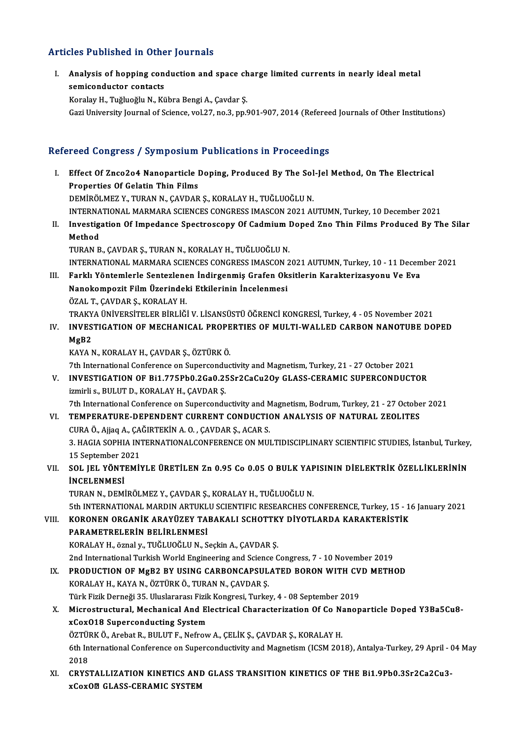#### Articles Published in Other Journals

rticles Published in Other Journals<br>I. Analysis of hopping conduction and space charge limited currents in nearly ideal metal Analysis of hopping contacts<br>Semiconductor contacts<br>Example Tughtoghe N. Ex semiconductor contacts<br>Koralay H., Tuğluoğlu N., Kübra Bengi A., Çavdar Ş.

Gazi University Journal of Science, vol.27, no.3, pp.901-907, 2014 (Refereed Journals of Other Institutions)

#### Refereed Congress / Symposium Publications in Proceedings

- efereed Congress / Symposium Publications in Proceedings<br>I. Effect Of Znco2o4 Nanoparticle Doping, Produced By The Sol-Jel Method, On The Electrical Properties Of Gelatin Thin Films<br>Properties Of Gelatin Thin Films<br>REMIPOLMEZ V. TURAN N. CAVDAR Effect Of Znco2o4 Nanoparticle Doping, Produced By The Sol<br>Properties Of Gelatin Thin Films<br>DEMİRÖLMEZ Y., TURAN N., ÇAVDAR Ş., KORALAY H., TUĞLUOĞLU N.<br>INTERNATIONAL MARMARA SCIENCES CONCRESS IMASCON 2021 AI Properties Of Gelatin Thin Films<br>DEMİRÖLMEZ Y., TURAN N., ÇAVDAR Ş., KORALAY H., TUĞLUOĞLU N.<br>INTERNATIONAL MARMARA SCIENCES CONGRESS IMASCON 2021 AUTUMN, Turkey, 10 December 2021 DEMİRÖLMEZ Y., TURAN N., ÇAVDAR Ş., KORALAY H., TUĞLUOĞLU N.<br>INTERNATIONAL MARMARA SCIENCES CONGRESS IMASCON 2021 AUTUMN, Turkey, 10 December 2021<br>II. Investigation Of Impedance Spectroscopy Of Cadmium Doped Zno Thin F INTERNA<br>I<mark>nvestig</mark><br>Method<br>TUPAN P
- Investigation Of Impedance Spectroscopy Of Cadmium I<br>Method<br>TURAN B., ÇAVDAR Ş., TURAN N., KORALAY H., TUĞLUOĞLU N.<br>INTERNATIONAL MARMARA SCIENCES CONCRESS IMASCON 2 Method<br>TURAN B., ÇAVDAR Ş., TURAN N., KORALAY H., TUĞLUOĞLU N.<br>INTERNATIONAL MARMARA SCIENCES CONGRESS IMASCON 2021 AUTUMN, Turkey, 10 - 11 December 2021<br>Farklı Yöntemlerle Santarlanan İndirgenmiş Grafan Oksitlerin Karakta I IRAN B., ÇAVDAR Ş., TURAN N., KORALAY H., TUĞLUOĞLU N.<br>INTERNATIONAL MARMARA SCIENCES CONGRESS IMASCON 2021 AUTUMN, Turkey, 10 - 11 Decem<br>III. Farklı Yöntemlerle Sentezlenen İndirgenmiş Grafen Oksitlerin Karakterizasyonu
- INTERNATIONAL MARMARA SCIENCES CONGRESS IMASCON 2<br>Farklı Yöntemlerle Sentezlenen İndirgenmiş Grafen Ok<br>Nanokompozit Film Üzerindeki Etkilerinin İncelenmesi<br>ÖZAL T. CAVDAR S. KORALAV H III. Farklı Yöntemlerle Sentezlenen İndirgenmiş Grafen Oksitlerin Karakterizasyonu Ve Eva<br>Nanokompozit Film Üzerindeki Etkilerinin İncelenmesi<br>ÖZAL T., ÇAVDAR Ş., KORALAY H. TRAKYAÜNİVERSİTELERBİRLİĞİV.LİSANSÜSTÜÖĞRENCİKONGRESİ,Turkey,4 -05November 2021 ÖZAL T., ÇAVDAR Ş., KORALAY H.<br>TRAKYA ÜNIVERSITELER BIRLIĞI V. LISANSÜSTÜ ÖĞRENCI KONGRESI, Turkey, 4 - 05 November 2021<br>IV. INVESTIGATION OF MECHANICAL PROPERTIES OF MULTI-WALLED CARBON NANOTUBE DOPED<br>MCP2
- TRAKY<br>I<mark>NVES</mark><br>MgB2<br>KAVA N MgB2<br>KAYA N., KORALAY H., ÇAVDAR Ş., ÖZTÜRK Ö.

7th International Conference on Superconductivity and Magnetism, Turkey, 21 - 27 October 2021 KAYA N., KORALAY H., ÇAVDAR Ş., ÖZTÜRK Ö.<br>7th International Conference on Superconductivity and Magnetism, Turkey, 21 - 27 October 2021<br>7. INVESTIGATION OF Bi1.775Pb0.2Ga0.25Sr2CaCu2Oy GLASS-CERAMIC SUPERCONDUCTOR<br>1. Invir 7th International Conference on Supercondu<br>INVESTIGATION OF Bi1.775Pb0.2Ga0.2!<br>izmirli s., BULUT D., KORALAY H., ÇAVDAR Ş.<br>7th International Conference on Supercondu INVESTIGATION OF Bi1.775Pb0.2Ga0.25Sr2CaCu2Oy GLASS-CERAMIC SUPERCONDUCTOR<br>izmirli s., BULUT D., KORALAY H., ÇAVDAR Ş.<br>7th International Conference on Superconductivity and Magnetism, Bodrum, Turkey, 21 - 27 October 2021<br>T

izmirli s., BULUT D., KORALAY H., ÇAVDAR Ş.<br>7th International Conference on Superconductivity and Magnetism, Bodrum, Turkey, 21 - 27 October 2021<br>7th International Conference on Superconductivity and Magnetism, Bodrum, Tur

# 7th International Conference on Superconductivity and M<br>TEMPERATURE-DEPENDENT CURRENT CONDUCTIONAL CORA Ö., Ajjaq A., ÇAĞIRTEKİN A. O. , ÇAVDAR Ş., ACAR S.<br>2. HACLA SOPHLA INTERNATIONAL CONFERENCE ON MIL

3. HAGIA SOPHIA INTERNATIONALCONFERENCE ON MULTIDISCIPLINARY SCIENTIFIC STUDIES, İstanbul, Turkey,<br>15 September 2021 CURA Ö., Ajjaq A., ÇA<br>3. HAGIA SOPHIA IN<br>15 September 2021<br>SOL JEL VÖNTEMIN 3. HAGIA SOPHIA INTERNATIONALCONFERENCE ON MULTIDISCIPLINARY SCIENTIFIC STUDIES, İstanbul, Turkey<br>15 September 2021<br>VII. SOL JEL YÖNTEMİYLE ÜRETİLEN Zn 0.95 Co 0.05 O BULK YAPISININ DİELEKTRİK ÖZELLİKLERİNİN<br>İNCELENMES

# 15 September 2<br>SOL JEL YÖNTI<br>İNCELENMESİ<br>TURAN N. DEMİ SOL JEL YÖNTEMİYLE ÜRETİLEN Zn 0.95 Co 0.05 O BULK YAF<br>İNCELENMESİ<br>TURAN N., DEMİRÖLMEZ Y., ÇAVDAR Ş., KORALAY H., TUĞLUOĞLU N.<br>Eth INTERNATIONAL MARDIN ARTUKLU SCIENTIFIC RESEARCUES CA

**İNCELENMESİ**<br>TURAN N., DEMİRÖLMEZ Y., ÇAVDAR Ş., KORALAY H., TUĞLUOĞLU N.<br>5th INTERNATIONAL MARDIN ARTUKLU SCIENTIFIC RESEARCHES CONFERENCE, Turkey, 15 - 16 January 2021

#### VIII. KORONEN ORGANİK ARAYÜZEY TABAKALI SCHOTTKY DİYOTLARDA KARAKTERİSTİK PARAMETRELERİN BELİRLENMESİ

KORALAY H., öznal y., TUĞLUOĞLU N., Seçkin A., ÇAVDAR Ş.

2nd InternationalTurkishWorldEngineering and ScienceCongress,7 -10November 2019

### KORALAY H., öznal y., TUĞLUOĞLU N., Seçkin A., ÇAVDAR Ş.<br>2nd International Turkish World Engineering and Science Congress, 7 - 10 November 2019<br>IX. PRODUCTION OF MgB2 BY USING CARBONCAPSULATED BORON WITH CVD METHOD<br>KORALAY 2nd International Turkish World Engineering and Scienc<br>PRODUCTION OF MgB2 BY USING CARBONCAPSUL<br>KORALAY H., KAYA N., ÖZTÜRK Ö., TURAN N., ÇAVDAR Ş.<br>Türk Firik Derneği 35. Uluslaranası Firik Kongresi Turke PRODUCTION OF MgB2 BY USING CARBONCAPSULATED BORON WITH CV<br>KORALAY H., KAYA N., ÖZTÜRK Ö., TURAN N., ÇAVDAR Ş.<br>Türk Fizik Derneği 35. Uluslararası Fizik Kongresi, Turkey, 4 - 08 September 2019<br>Misrostrustural, Moshanisal A Türk Fizik Derneği 35. Uluslararası Fizik Kongresi, Turkey, 4 - 08 September 2019

# KORALAY H., KAYA N., ÖZTÜRK Ö., TURAN N., ÇAVDAR Ş.<br>Türk Fizik Derneği 35. Uluslararası Fizik Kongresi, Turkey, 4 - 08 September 2019<br>X. Microstructural, Mechanical And Electrical Characterization Of Co Nanoparticle Do Microstructural, Mechanical And Electrical Characterization Of Co N:<br>xCox018 Superconducting System<br>ÖZTÜRK Ö., Arebat R., BULUT F., Nefrow A., ÇELİK Ş., ÇAVDAR Ş., KORALAY H.<br>Eth International Conference on Superconductivi

xCoxO18 Superconducting System<br>ÖZTÜRK Ö., Arebat R., BULUT F., Nefrow A., ÇELİK Ş., ÇAVDAR Ş., KORALAY H.<br>6th International Conference on Superconductivity and Magnetism (ICSM 2018), Antalya-Turkey, 29 April - 04 May<br>2018 ÖZTÜI<br>6th In<br>2018<br>CPYS 6th International Conference on Superconductivity and Magnetism (ICSM 2018), Antalya-Turkey, 29 April - 0<br>2018<br>XI. CRYSTALLIZATION KINETICS AND GLASS TRANSITION KINETICS OF THE Bi1.9Pb0.3Sr2Ca2Cu3-

2018<br>XI. CRYSTALLIZATION KINETICS AND GLASS TRANSITION KINETICS OF THE Bi1.9Pb0.3Sr2Ca2Cu3-<br>xCoxO@ GLASS-CERAMIC SYSTEM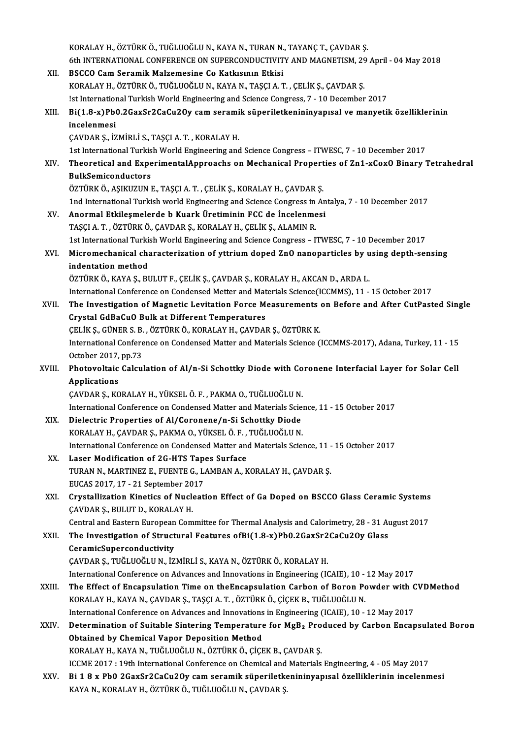|        | KORALAY H., ÖZTÜRK Ö., TUĞLUOĞLU N., KAYA N., TURAN N., TAYANÇ T., ÇAVDAR Ş.                                                                                                                                |
|--------|-------------------------------------------------------------------------------------------------------------------------------------------------------------------------------------------------------------|
|        | 6th INTERNATIONAL CONFERENCE ON SUPERCONDUCTIVITY AND MAGNETISM, 29 April - 04 May 2018                                                                                                                     |
| XII.   | BSCCO Cam Seramik Malzemesine Co Katkısının Etkisi                                                                                                                                                          |
|        | KORALAY H., ÖZTÜRK Ö., TUĞLUOĞLU N., KAYA N., TAŞÇI A. T. , ÇELİK Ş., ÇAVDAR Ş.                                                                                                                             |
|        | !st International Turkish World Engineering and Science Congress, 7 - 10 December 2017                                                                                                                      |
| XIII.  | Bi(1.8-x)Pb0.2GaxSr2CaCu2Oy cam seramik süperiletkenininyapısal ve manyetik özelliklerinin                                                                                                                  |
|        | incelenmesi                                                                                                                                                                                                 |
|        | ÇAVDAR Ş., İZMİRLİ S., TAŞÇI A. T. , KORALAY H.                                                                                                                                                             |
|        | 1st International Turkish World Engineering and Science Congress - ITWESC, 7 - 10 December 2017                                                                                                             |
| XIV.   | Theoretical and ExperimentalApproachs on Mechanical Properties of Zn1-xCoxO Binary Tetrahedral                                                                                                              |
|        | <b>BulkSemiconductors</b>                                                                                                                                                                                   |
|        | ÖZTÜRK Ö., AŞIKUZUN E., TAŞÇI A. T. , ÇELİK Ş., KORALAY H., ÇAVDAR Ş.                                                                                                                                       |
|        | 1nd International Turkish world Engineering and Science Congress in Antalya, 7 - 10 December 2017                                                                                                           |
| XV.    | Anormal Etkileşmelerde b Kuark Üretiminin FCC de İncelenmesi                                                                                                                                                |
|        | TAŞÇI A. T. , ÖZTÜRK Ö., ÇAVDAR Ş., KORALAY H., ÇELİK Ş., ALAMIN R.                                                                                                                                         |
|        | 1st International Turkish World Engineering and Science Congress - ITWESC, 7 - 10 December 2017                                                                                                             |
| XVI.   | Micromechanical characterization of yttrium doped ZnO nanoparticles by using depth-sensing                                                                                                                  |
|        | indentation method                                                                                                                                                                                          |
|        | ÖZTÜRK Ö., KAYA Ş., BULUT F., ÇELİK Ş., ÇAVDAR Ş., KORALAY H., AKCAN D., ARDA L.                                                                                                                            |
|        | International Conference on Condensed Metter and Materials Science(ICCMMS), 11 - 15 October 2017                                                                                                            |
| XVII.  | The Investigation of Magnetic Levitation Force Measurements on Before and After CutPasted Single                                                                                                            |
|        | Crystal GdBaCuO Bulk at Different Temperatures                                                                                                                                                              |
|        | ÇELİK Ş., GÜNER S. B., ÖZTÜRK Ö., KORALAY H., ÇAVDAR Ş., ÖZTÜRK K.                                                                                                                                          |
|        | International Conference on Condensed Matter and Materials Science (ICCMMS-2017), Adana, Turkey, 11 - 15<br>October 2017, pp 73                                                                             |
| XVIII. | Photovoltaic Calculation of Al/n-Si Schottky Diode with Coronene Interfacial Layer for Solar Cell                                                                                                           |
|        | Applications                                                                                                                                                                                                |
|        | ÇAVDAR Ş., KORALAY H., YÜKSEL Ö. F., PAKMA O., TUĞLUOĞLU N.                                                                                                                                                 |
|        | International Conference on Condensed Matter and Materials Science, 11 - 15 October 2017                                                                                                                    |
| XIX.   | Dielectric Properties of Al/Coronene/n-Si Schottky Diode                                                                                                                                                    |
|        | KORALAY H., ÇAVDAR Ş., PAKMA O., YÜKSEL Ö. F., TUĞLUOĞLU N.                                                                                                                                                 |
|        | International Conference on Condensed Matter and Materials Science, 11 - 15 October 2017                                                                                                                    |
| XX.    | Laser Modification of 2G-HTS Tapes Surface                                                                                                                                                                  |
|        | TURAN N., MARTINEZ E., FUENTE G., LAMBAN A., KORALAY H., ÇAVDAR Ş.                                                                                                                                          |
|        | EUCAS 2017, 17 - 21 September 2017                                                                                                                                                                          |
| XXI.   | Crystallization Kinetics of Nucleation Effect of Ga Doped on BSCCO Glass Ceramic Systems                                                                                                                    |
|        | ÇAVDAR Ş., BULUT D., KORALAY H.                                                                                                                                                                             |
|        | Central and Eastern European Committee for Thermal Analysis and Calorimetry, 28 - 31 August 2017                                                                                                            |
| XXII.  | The Investigation of Structural Features ofBi(1.8-x)Pb0.2GaxSr2CaCu2Oy Glass                                                                                                                                |
|        | CeramicSuperconductivity                                                                                                                                                                                    |
|        | ÇAVDAR Ş., TUĞLUOĞLU N., İZMİRLİ S., KAYA N., ÖZTÜRK Ö., KORALAY H.                                                                                                                                         |
|        | International Conference on Advances and Innovations in Engineering (ICAIE), 10 - 12 May 2017                                                                                                               |
| XXIII. | The Effect of Encapsulation Time on the Encapsulation Carbon of Boron Powder with CVDMethod                                                                                                                 |
|        | KORALAY H., KAYA N., ÇAVDAR Ş., TAŞÇI A. T. , ÖZTÜRK Ö., ÇİÇEK B., TUĞLUOĞLU N.                                                                                                                             |
|        | International Conference on Advances and Innovations in Engineering (ICAIE), 10 - 12 May 2017<br>Determination of Suitable Sintering Temperature for MgB <sub>2</sub> Produced by Carbon Encapsulated Boron |
| XXIV.  | Obtained by Chemical Vapor Deposition Method                                                                                                                                                                |
|        | KORALAY H., KAYA N., TUĞLUOĞLU N., ÖZTÜRK Ö., ÇİÇEK B., ÇAVDAR Ş.                                                                                                                                           |
|        | ICCME 2017 : 19th International Conference on Chemical and Materials Engineering, 4 - 05 May 2017                                                                                                           |
| XXV.   | Bi 18 x Pb0 2GaxSr2CaCu2Oy cam seramik süperiletkenininyapısal özelliklerinin incelenmesi                                                                                                                   |
|        | KAYA N., KORALAY H., ÖZTÜRK Ö., TUĞLUOĞLU N., ÇAVDAR Ş.                                                                                                                                                     |
|        |                                                                                                                                                                                                             |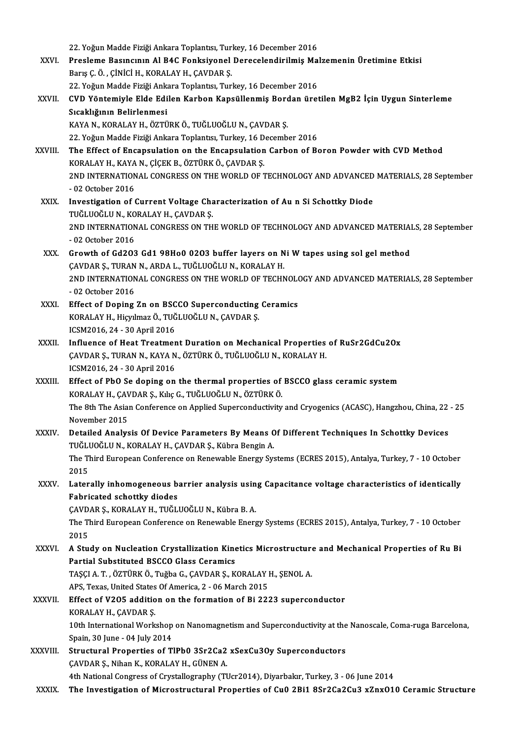22. Yoğun Madde Fiziği Ankara Toplantısı, Turkey, 16 December 2016 22. Yoğun Madde Fiziği Ankara Toplantısı, Turkey, 16 December 2016<br>XXVI. Presleme Basıncının Al B4C Fonksiyonel Derecelendirilmiş Malzemenin Üretimine Etkisi<br>Rawe G. Ö. Ginici H. KORALAY H. GAVDAR S 22. Yoğun Madde Fiziği Ankara Toplantısı, Turi<br>Presleme Basıncının Al B4C Fonksiyonel<br>Barış Ç. Ö. , ÇİNİCİ H., KORALAY H., ÇAVDAR Ş.<br>22. Yoğun Madde Fiziği Ankara Toplantısı Turi Presleme Basıncının Al B4C Fonksiyonel Derecelendirilmiş Ma<br>Barış Ç. Ö. , ÇİNİCİ H., KORALAY H., ÇAVDAR Ş.<br>22. Yoğun Madde Fiziği Ankara Toplantısı, Turkey, 16 December 2016<br>CVD Yöntemiyle Elde Edilen Karban Kanağıllanmiş Barış Ç. Ö. , ÇİNİCİ H., KORALAY H., ÇAVDAR Ş.<br>22. Yoğun Madde Fiziği Ankara Toplantısı, Turkey, 16 December 2016<br>XXVII. CVD Yöntemiyle Elde Edilen Karbon Kapsüllenmiş Bordan üretilen MgB2 İçin Uygun Sinterleme<br>Sıcaklı 22. Yoğun Madde Fiziği Ankara Toplantısı, Turkey, 16 December 2016 CVD Yöntemiyle Elde Edilen Karbon Kapsüllenmiş Bord<br>Sıcaklığının Belirlenmesi<br>KAYA N., KORALAY H., ÖZTÜRK Ö., TUĞLUOĞLU N., ÇAVDAR Ş.<br>22 Yoğun Madde Firiği Ankara Tenlantar Turkov 16 Decemb Sıcaklığının Belirlenmesi<br>KAYA N., KORALAY H., ÖZTÜRK Ö., TUĞLUOĞLU N., ÇAVDAR Ş.<br>22. Yoğun Madde Fiziği Ankara Toplantısı, Turkey, 16 December 2016<br>The Effect of Encanculation on the Encanculation Carbon of B. KAYA N., KORALAY H., ÖZTÜRK Ö., TUĞLUOĞLU N., ÇAVDAR Ş.<br>22. Yoğun Madde Fiziği Ankara Toplantısı, Turkey, 16 December 2016<br>XXVIII. The Effect of Encapsulation on the Encapsulation Carbon of Boron Powder with CVD Method 22. Yoğun Madde Fiziği Ankara Toplantısı, Turkey, 16 D<br>The Effect of Encapsulation on the Encapsulation<br>KORALAY H., KAYA N., ÇİÇEK B., ÖZTÜRK Ö., ÇAVDAR Ş.<br>2ND INTERNATIONAL CONCRESS ON THE WORLD OF 1 The Effect of Encapsulation on the Encapsulation Carbon of Boron Powder with CVD Method<br>KORALAY H., KAYA N., ÇİÇEK B., ÖZTÜRK Ö., ÇAVDAR Ş.<br>2ND INTERNATIONAL CONGRESS ON THE WORLD OF TECHNOLOGY AND ADVANCED MATERIALS, 28 S KORALAY H., KAYA<br>2ND INTERNATION<br>- 02 October 2016<br>Investigation of f 2ND INTERNATIONAL CONGRESS ON THE WORLD OF TECHNOLOGY AND ADVANCED<br>- 02 October 2016<br>XXIX. Investigation of Current Voltage Characterization of Au n Si Schottky Diode<br>TUČLUOČLU N. KORALAY H. GAVDAR S -02 October 2016<br>Investigation of Current Voltage Characterization of Au n Si Schottky Diode<br>TUĞLUOĞLU N., KORALAY H., ÇAVDAR Ş. Investigation of Current Voltage Characterization of Au n Si Schottky Diode<br>TUĞLUOĞLU N., KORALAY H., ÇAVDAR Ş.<br>2ND INTERNATIONAL CONGRESS ON THE WORLD OF TECHNOLOGY AND ADVANCED MATERIALS, 28 September<br>02 Ostober 2016 TUĞLUOĞLU N., KO<br>2ND INTERNATION<br>- 02 October 2016<br>Crowth of Gd2O3 2ND INTERNATIONAL CONGRESS ON THE WORLD OF TECHNOLOGY AND ADVANCED MATERIAI<br>- 02 October 2016<br>XXX. Growth of Gd2O3 Gd1 98Ho0 02O3 buffer layers on Ni W tapes using sol gel method<br>CAVDAR S. TURAN N. ARDA L. TUČLUOČLU N. KOR ol2 October 2016<br>XXX. Growth of Gd203 Gd1 98Ho0 0203 buffer layers on Ni W tapes using sol gel method 2ND INTERNATIONAL CONGRESS ON THE WORLD OF TECHNOLOGY AND ADVANCED MATERIALS, 28 September<br>- 02 October 2016 CAVDAR S., TURAN N., ARDA L., TUĞLUOĞLU N., KORALAY H. 2ND INTERNATIONAL CONGRESS ON THE WORLD OF TECHNOLO<br>- 02 October 2016<br>XXXI. Effect of Doping Zn on BSCCO Superconducting Ceramics<br>XORALAY H Highlmag Ö, THČLHOČLH N, CAVDAR S - 02 October 2016<br>Effect of Doping Zn on BSCCO Superconducting<br>KORALAY H., Hiçyılmaz Ö., TUĞLUOĞLU N., ÇAVDAR Ş.<br>ICSM2016 24 - 20 April 2016 Effect of Doping Zn on BSC<br>KORALAY H., Hiçyılmaz Ö., TUĞ<br>ICSM2016, 24 - 30 April 2016<br>Influence of Heat Treatmen KORALAY H., Hiçyılmaz Ö., TUĞLUOĞLU N., ÇAVDAR Ş.<br>ICSM2016, 24 - 30 April 2016<br>XXXII. Influence of Heat Treatment Duration on Mechanical Properties of RuSr2GdCu2Ox ICSM2016, 24 - 30 April 2016<br>Influence of Heat Treatment Duration on Mechanical Properties<br>ÇAVDAR Ş., TURAN N., KAYA N., ÖZTÜRK Ö., TUĞLUOĞLU N., KORALAY H.<br>ICSM2016, 24, .30 April 2016 Influence of Heat Treatmer<br>ÇAVDAR Ş., TURAN N., KAYA N<br>ICSM2016, 24 - 30 April 2016<br>Fffest of PhO Se dening on CAVDAR Ş., TURAN N., KAYA N., ÖZTÜRK Ö., TUĞLUOĞLU N., KORALAY H.<br>ICSM2016, 24 - 30 April 2016<br>XXXIII. Effect of PbO Se doping on the thermal properties of BSCCO glass ceramic system<br>XORALAY H. GAVDAR S. Kiko G. TUĞLUOĞLU ICSM2016, 24 - 30 April 2016<br>Effect of PbO Se doping on the thermal properties of<br>KORALAY H., ÇAVDAR Ş., Kılıç G., TUĞLUOĞLU N., ÖZTÜRK Ö.<br>The <sup>9th</sup> The Asian Conference on Annlied Sunersendustivity Effect of PbO Se doping on the thermal properties of BSCCO glass ceramic system<br>KORALAY H., ÇAVDAR Ş., Kılıç G., TUĞLUOĞLU N., ÖZTÜRK Ö.<br>The 8th The Asian Conference on Applied Superconductivity and Cryogenics (ACASC), Han KORALAY H., ÇAV<br>The 8th The Asia<br>November 2015<br>Petailed Analys The 8th The Asian Conference on Applied Superconductivity and Cryogenics (ACASC), Hangzhou, China, 22<br>November 2015<br>XXXIV. Detailed Analysis Of Device Parameters By Means Of Different Techniques In Schottky Devices<br>TUČLUOČ November 2015<br>Detailed Analysis Of Device Parameters By Means C<br>TUĞLUOĞLU N., KORALAY H., ÇAVDAR Ş., Kübra Bengin A.<br>The Third European Conference en Peneurble Energy Sy Detailed Analysis Of Device Parameters By Means Of Different Techniques In Schottky Devices<br>TUĞLUOĞLU N., KORALAY H., ÇAVDAR Ş., Kübra Bengin A.<br>The Third European Conference on Renewable Energy Systems (ECRES 2015), Antal TUĞLI<br>The Tl<br>2015<br>Later The Third European Conference on Renewable Energy Systems (ECRES 2015), Antalya, Turkey, 7 - 10 October<br>2015<br>XXXV. Laterally inhomogeneous barrier analysis using Capacitance voltage characteristics of identically<br>Febricate 2015<br>Laterally inhomogeneous b<br>Fabricated schottky diodes<br>CAVDARS, KORALAV H. TUČL Laterally inhomogeneous barrier analysis usin<br>Fabricated schottky diodes<br>ÇAVDAR Ş., KORALAY H., TUĞLUOĞLU N., Kübra B. A.<br>The Third European Conference en Benewable Energ Fabricated schottky diodes<br>ÇAVDAR Ş., KORALAY H., TUĞLUOĞLU N., Kübra B. A.<br>The Third European Conference on Renewable Energy Systems (ECRES 2015), Antalya, Turkey, 7 - 10 October<br>2015 CAVD.<br>The Tl<br>2015 The Third European Conference on Renewable Energy Systems (ECRES 2015), Antalya, Turkey, 7 - 10 October<br>2015<br>XXXVI. A Study on Nucleation Crystallization Kinetics Microstructure and Mechanical Properties of Ru Bi<br>Partial S 2015<br>A Study on Nucleation Crystallization Kino<br>Partial Substituted BSCCO Glass Ceramics A Study on Nucleation Crystallization Kinetics Microstructure<br>Partial Substituted BSCCO Glass Ceramics<br>TAŞÇI A.T.,ÖZTÜRKÖ.,Tuğba G., ÇAVDAR Ş., KORALAY H., ŞENOL A. TAŞÇI A. T. , ÖZTÜRK Ö., Tuğba G., ÇAVDAR Ş., KORALAY H., ŞENOL A.<br>APS, Texas, United States Of America, 2 - 06 March 2015 TAŞÇI A. T. , ÖZTÜRK Ö., Tuğba G., ÇAVDAR Ş., KORALAY H., ŞENOL A.<br>APS, Texas, United States Of America, 2 - 06 March 2015<br>XXXVII. Effect of V2O5 addition on the formation of Bi 2223 superconductor<br>KORALAY H. GAVDAR S APS, Texas, United States<br>Effect of V205 additio<br>KORALAY H., ÇAVDAR Ş.<br>10th International Werk Effect of V2O5 addition on the formation of Bi 2223 superconductor<br>KORALAY H., ÇAVDAR Ş.<br>10th International Workshop on Nanomagnetism and Superconductivity at the Nanoscale, Coma-ruga Barcelona,<br>Spain 30 June - 04 July 201 KORALAY H., ÇAVDAR Ş.<br>10th International Workshop<br>Spain, 30 June - 04 July 2014<br>Structural Proporties of T 10th International Workshop on Nanomagnetism and Superconductivity at the<br>Spain, 30 June - 04 July 2014<br>XXXVIII. Structural Properties of TIPb0 3Sr2Ca2 xSexCu3Oy Superconductors Spain, 30 June - 04 July 2014<br>Structural Properties of TlPb0 3Sr2Ca2<br>ÇAVDAR Ş., Nihan K., KORALAY H., GÜNEN A.<br>4th National Cangress of Grustallography (Tl 4thNationalCongress ofCrystalography (TUcr2014),Diyarbakır,Turkey,3 -06 June 2014 XXXIX. The Investigation of Microstructural Properties of Cu0 2Bi1 8Sr2Ca2Cu3 xZnxO10 Ceramic Structure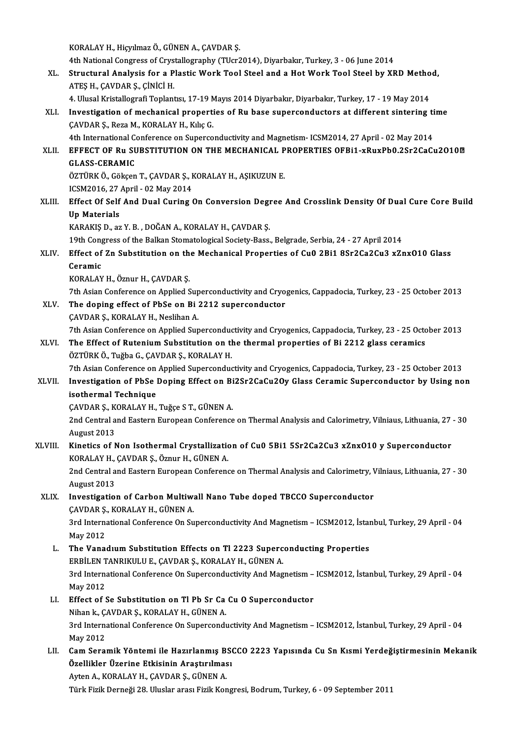KORALAY H., Hiçyılmaz Ö., GÜNEN A., ÇAVDAR Ş.

KORALAY H., Hiçyılmaz Ö., GÜNEN A., ÇAVDAR Ş.<br>4th National Congress of Crystallography (TUcr2014), Diyarbakır, Turkey, 3 - 06 June 2014<br>Strugtural Analyaja fon a Plastia Work Tool Staal and a Hot Work Tool Staal by YE

- KORALAY H., Hiçyılmaz Ö., GÜNEN A., ÇAVDAR Ş.<br>4th National Congress of Crystallography (TUcr2014), Diyarbakır, Turkey, 3 06 June 2014<br>XL. Structural Analysis for a Plastic Work Tool Steel and a Hot Work Tool Steel by XRD 4th National Congress of Crys<br>Structural Analysis for a P<br>ATEŞ H., ÇAVDAR Ş., ÇİNİCİ H.<br>4. Hlusel Kristallografi Tenları Structural Analysis for a Plastic Work Tool Steel and a Hot Work Tool Steel by XRD Metho<br>ATEŞ H., ÇAVDAR Ş., ÇİNİCİ H.<br>4. Ulusal Kristallografi Toplantısı, 17-19 Mayıs 2014 Diyarbakır, Diyarbakır, Turkey, 17 - 19 May 2014<br>
	-
- ATEŞ H., ÇAVDAR Ş., ÇİNİCİ H.<br>4. Ulusal Kristallografi Toplantısı, 17-19 Mayıs 2014 Diyarbakır, Diyarbakır, Turkey, 17 19 May 2014<br>XLI. Investigation of mechanical properties of Ru base superconductors at different sinte 4. Ulusal Kristallografi Toplantısı, 17-19 Mayıs 2014 Diyarbakır, Diyarbakır, Turkey, 17 - 19 May 2014<br>Investigation of mechanical properties of Ru base superconductors at different sintering<br>ÇAVDAR Ş., Reza M., KORALAY H. Investigation of mechanical properties of Ru base superconductors at different sintering ti<br>CAVDAR Ş., Reza M., KORALAY H., Kılıç G.<br>4th International Conference on Superconductivity and Magnetism- ICSM2014, 27 April - 02

4th International Conference on Superconductivity and Magnetism- ICSM2014, 27 April - 02 May 2014

XLII. EFFECT OF Ru SUBSTITUTION ON THE MECHANICAL PROPERTIES OFBI1-xRuxPb0.2Sr2CaCu2O10<sup>m</sup><br>GLASS-CERAMIC EFFECT OF Ru SUBSTITUTION ON THE MECHANICAL P<br>GLASS-CERAMIC<br>ÖZTÜRK Ö., Gökçen T., ÇAVDAR Ş., KORALAY H., AŞIKUZUN E.<br>ICSM2016-27 April - 02 May 2014

GLASS-CERAMIC<br>ÖZTÜRK Ö., Gökçen T., ÇAVDAR Ş., I<br>ICSM2016, 27 April - 02 May 2014<br>Effect Of Self And Dual Curing (

ÖZTÜRK Ö., Gökçen T., ÇAVDAR Ş., KORALAY H., AŞIKUZUN E.<br>ICSM2016, 27 April - 02 May 2014<br>XLIII. Effect Of Self And Dual Curing On Conversion Degree And Crosslink Density Of Dual Cure Core Build<br>I.I. Matarials ICSM2016, 27 April - 02 May 2014<br>Effect Of Self And Dual Curing On Conversion Degi<br>Up Materials<br>KARAKIS D., az Y. B., DOĞAN A., KORALAY H., ÇAVDAR Ş. Effect Of Self And Dual Curing On Conversion Degi<br>Up Materials<br>KARAKIŞ D., az Y. B. , DOĞAN A., KORALAY H., ÇAVDAR Ş.<br>19th Congress of the Ballan Stamatelegisel Society Boss Up Materials<br>KARAKIŞ D., az Y. B. , DOĞAN A., KORALAY H., ÇAVDAR Ş.<br>19th Congress of the Balkan Stomatological Society-Bass., Belgrade, Serbia, 24 - 27 April 2014<br>Effect of Zn Subetitution on the Mechanical Properties of C

## XLIV. Effect of Zn Substitution on the Mechanical Properties of Cu0 2Bi1 8Sr2Ca2Cu3 xZnx010 Glass<br>Ceramic 19th Cong<br>Effect of<br>Ceramic<br>KORALAY Ceramic<br>KORALAY H., Öznur H., ÇAVDAR Ş.<br>7th Asian Conference on Applied Superconductivity and Cryogenics, Cappadocia, Turkey, 23 - 25 October 2013<br>The doning effect of PhSe on Bi 2212 supersonductor.

KORALAY H., Öznur H., ÇAVDAR Ş.

- KORALAY H., Öznur H., ÇAVDAR Ş.<br>7th Asian Conference on Applied Superconductivity and Cryo<sub>1</sub><br>XLV. The doping effect of PbSe on Bi 2212 superconductor The Asian Conference on Applied Sup<br>The doping effect of PbSe on Bi:<br>CAVDAR S., KORALAY H., Neslihan A. The doping effect of PbSe on Bi 2212 superconductor<br>CAVDAR Ş., KORALAY H., Neslihan A.<br>7th Asian Conference on Applied Superconductivity and Cryogenics, Cappadocia, Turkey, 23 - 25 October 2013<br>The Effect of Butonium Subst CAVDAR Ș., KORALAY H., Neslihan A.<br>7th Asian Conference on Applied Superconductivity and Cryogenics, Cappadocia, Turkey, 23 - 25 Octo<br>XLVI. The Effect of Rutenium Substitution on the thermal properties of Bi 2212 glass cer
- 7th Asian Conference on Applied Superconduction<br>The Effect of Rutenium Substitution on the<br>ÖZTÜRK Ö., Tuğba G., ÇAVDAR Ş., KORALAY H.<br>7th Asian Conference on Applied Superconduc

### 7th Asian Conference on Applied Superconductivity and Cryogenics, Cappadocia, Turkey, 23 - 25 October 2013 ÖZTÜRK Ö., Tuğba G., ÇAVDAR Ş., KORALAY H.<br>7th Asian Conference on Applied Superconductivity and Cryogenics, Cappadocia, Turkey, 23 - 25 October 2013<br>XLVII. Investigation of PbSe Doping Effect on Bi2Sr2CaCu2Oy Glass Cerami Tth Asian Conference on<br>Investigation of PbSe l<br>isothermal Technique<br>CAVDAB S. KOBALAV H Investigation of PbSe Doping Effect on Bi<br>isothermal Technique<br>ÇAVDAR Ş., KORALAY H., Tuğçe S T., GÜNEN A.<br>2nd Control and Esstern European Conference

ÇAVDAR Ş., KORALAY H., Tuğçe S T., GÜNEN A.

isothermal Technique<br>ÇAVDAR Ş., KORALAY H., Tuğçe S T., GÜNEN A.<br>2nd Central and Eastern European Conference on Thermal Analysis and Calorimetry, Vilniaus, Lithuania, 27 - 30<br>August 2013 2nd Central and Eastern European Conference on Thermal Analysis and Calorimetry, Vilniaus, Lithuania, 27<br>August 2013<br>XLVIII. Kinetics of Non Isothermal Crystallization of Cu0 5Bi1 5Sr2Ca2Cu3 xZnxO10 y Superconductor<br>XOPALA

# August 2013<br><mark>Kinetics of Non Isothermal Crystallizati</mark>c<br>KORALAY H., ÇAVDAR Ş., Öznur H., GÜNEN A.<br>2nd Centrel and Fastern Euronean Conferenc Kinetics of Non Isothermal Crystallization of Cu0 5Bi1 5Sr2Ca2Cu3 xZnx010 y Superconductor<br>KORALAY H., ÇAVDAR Ş., Öznur H., GÜNEN A.<br>2nd Central and Eastern European Conference on Thermal Analysis and Calorimetry, Vilniaus

KORALAY H.,<br>2nd Central a<br>August 2013<br>Investigatio 2nd Central and Eastern European Conference on Thermal Analysis and Calorimetry, V<br>August 2013<br>XLIX. Investigation of Carbon Multiwall Nano Tube doped TBCCO Superconductor

## August 2013<br>XLIX. Investigation of Carbon Multiwall Nano Tube doped TBCCO Superconductor<br>CAVDAR S., KORALAY H., GÜNEN A. Investigation of Carbon Multiwall Nano Tube doped TBCCO Superconductor<br>ÇAVDAR Ş., KORALAY H., GÜNEN A.<br>3rd International Conference On Superconductivity And Magnetism – ICSM2012, İstanbul, Turkey, 29 April - 04<br>May 2012

CAVDAR Ş.<br>3rd Interna<br>May 2012<br>The Vana 3rd International Conference On Superconductivity And Magnetism – ICSM2012, İstan<br>May 2012<br>L. The Vanadıum Substitution Effects on Tl 2223 Superconducting Properties<br>EPPU EN TANPIKULUE CAVDARS, KORALAY H. CÜNEN A

- May 2012<br>The Vanadıum Substitution Effects on Tl 2223 Superc<br>ERBİLEN TANRIKULU E., ÇAVDAR Ş., KORALAY H., GÜNEN A.<br>2rd International Conference On Supersonductivity And Mag The Vanadıum Substitution Effects on Tl 2223 Superconducting Properties<br>ERBİLEN TANRIKULU E., ÇAVDAR Ş., KORALAY H., GÜNEN A.<br>3rd International Conference On Superconductivity And Magnetism – ICSM2012, İstanbul, Turkey, 29 ERBİLEN T<br>3rd Interna<br>May 2012<br>Effect of 1 3rd International Conference On Superconductivity And Magnetism –<br>May 2012<br>LI. Effect of Se Substitution on Tl Pb Sr Ca Cu O Superconductor<br>Nihan k CAVDARS, KORALAY H, CÜNEN A May 2012<br>L. Effect of Se Substitution on Tl Pb Sr Ca Cu O Superconductor
- 3rd International Conference On Superconductivity And Magnetism ICSM2012, İstanbul, Turkey, 29 April 04<br>May 2012 Nihan k, CAVDAR S, KORALAY H, GÜNEN A. 3rd International Conference On Superconductivity And Magnetism – ICSM2012, İstanbul, Turkey, 29 April - 04<br>May 2012<br>LII. Cam Seramik Yöntemi ile Hazırlanmış BSCCO 2223 Yapısında Cu Sn Kısmi Yerdeğiştirmesinin Mekanik<br>
- May 2012<br>Cam Seramik Yöntemi ile Hazırlanmış BS(<br>Özellikler Üzerine Etkisinin Araştırılması<br>Aytan A. KORALAY H. GAVDAR S. GÜNEN A Cam Seramik Yöntemi ile Hazırlanmış B:<br>Özellikler Üzerine Etkisinin Araştırılmas<br>Ayten A., KORALAY H., ÇAVDAR Ş., GÜNEN A.<br>Türk Firik Derneği 28, Huslan arası Firik Kor Özellikler Üzerine Etkisinin Araştırılması<br>Ayten A., KORALAY H., ÇAVDAR Ş., GÜNEN A.<br>Türk Fizik Derneği 28. Uluslar arası Fizik Kongresi, Bodrum, Turkey, 6 - 09 September 2011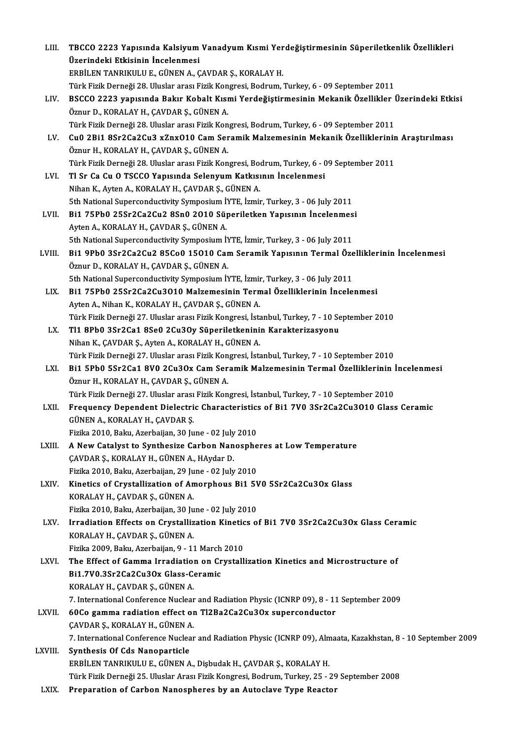| LIII.   | TBCCO 2223 Yapısında Kalsiyum Vanadyum Kısmi Yerdeğiştirmesinin Süperiletkenlik Özellikleri                     |
|---------|-----------------------------------------------------------------------------------------------------------------|
|         | Üzerindeki Etkisinin İncelenmesi                                                                                |
|         | ERBİLEN TANRIKULU E., GÜNEN A., ÇAVDAR Ş., KORALAY H.                                                           |
|         | Türk Fizik Derneği 28. Uluslar arası Fizik Kongresi, Bodrum, Turkey, 6 - 09 September 2011                      |
| LIV.    | BSCCO 2223 yapısında Bakır Kobalt Kısmi Yerdeğiştirmesinin Mekanik Özellikler Üzerindeki Etkisi                 |
|         | Öznur D., KORALAY H., ÇAVDAR Ş., GÜNEN A.                                                                       |
|         | Türk Fizik Derneği 28. Uluslar arası Fizik Kongresi, Bodrum, Turkey, 6 - 09 September 2011                      |
| LV.     | Cu0 2Bi1 8Sr2Ca2Cu3 xZnxO10 Cam Seramik Malzemesinin Mekanik Özelliklerinin Araştırılması                       |
|         | Öznur H., KORALAY H., ÇAVDAR Ş., GÜNEN A.                                                                       |
|         | Türk Fizik Derneği 28. Uluslar arası Fizik Kongresi, Bodrum, Turkey, 6 - 09 September 2011                      |
| LVI.    | Tl Sr Ca Cu O TSCCO Yapısında Selenyum Katkısının İncelenmesi                                                   |
|         | Nihan K., Ayten A., KORALAY H., CAVDAR Ş., GÜNEN A.                                                             |
|         | 5th National Superconductivity Symposium İYTE, İzmir, Turkey, 3 - 06 July 2011                                  |
| LVII.   | Bi1 75Pb0 25Sr2Ca2Cu2 8Sn0 2010 Süperiletken Yapısının İncelenmesi                                              |
|         | Ayten A., KORALAY H., ÇAVDAR Ş., GÜNEN A.                                                                       |
|         | 5th National Superconductivity Symposium İYTE, İzmir, Turkey, 3 - 06 July 2011                                  |
| LVIII.  | Bi1 9Pb0 3Sr2Ca2Cu2 85Co0 15010 Cam Seramik Yapısının Termal Özelliklerinin İncelenmesi                         |
|         | Öznur D., KORALAY H., ÇAVDAR Ş., GÜNEN A.                                                                       |
|         | 5th National Superconductivity Symposium İYTE, İzmir, Turkey, 3 - 06 July 2011                                  |
| LIX.    | Bi1 75Pb0 25Sr2Ca2Cu3O10 Malzemesinin Termal Özelliklerinin İncelenmesi                                         |
|         | Ayten A., Nihan K., KORALAY H., ÇAVDAR Ş., GÜNEN A.                                                             |
|         | Türk Fizik Derneği 27. Uluslar arası Fizik Kongresi, İstanbul, Turkey, 7 - 10 September 2010                    |
| LX.     | Tl1 8Pb0 3Sr2Ca1 8Se0 2Cu3Oy Süperiletkeninin Karakterizasyonu                                                  |
|         | Nihan K., ÇAVDAR Ş., Ayten A., KORALAY H., GÜNEN A.                                                             |
|         | Türk Fizik Derneği 27. Uluslar arası Fizik Kongresi, İstanbul, Turkey, 7 - 10 September 2010                    |
| LXI.    | Bi1 5Pb0 5Sr2Ca1 8V0 2Cu3Ox Cam Seramik Malzemesinin Termal Özelliklerinin İncelenmesi                          |
|         | Öznur H., KORALAY H., ÇAVDAR Ş., GÜNEN A.                                                                       |
|         | Türk Fizik Derneği 27. Uluslar arası Fizik Kongresi, İstanbul, Turkey, 7 - 10 September 2010                    |
| LXII.   | Frequency Dependent Dielectric Characteristics of Bi1 7V0 3Sr2Ca2Cu3010 Glass Ceramic                           |
|         | GÜNEN A., KORALAY H., ÇAVDAR Ş.                                                                                 |
|         | Fizika 2010, Baku, Azerbaijan, 30 June - 02 July 2010                                                           |
| LXIII.  | A New Catalyst to Synthesize Carbon Nanospheres at Low Temperature                                              |
|         | ÇAVDAR Ş., KORALAY H., GÜNEN A., HAydar D.                                                                      |
|         | Fizika 2010, Baku, Azerbaijan, 29 June - 02 July 2010                                                           |
| LXIV.   | Kinetics of Crystallization of Amorphous Bi1 5V0 5Sr2Ca2Cu3Ox Glass                                             |
|         | KORALAY H., ÇAVDAR Ş., GÜNEN A.                                                                                 |
|         | Fizika 2010, Baku, Azerbaijan, 30 June - 02 July 2010                                                           |
| LXV.    | Irradiation Effects on Crystallization Kinetics of Bi1 7V0 3Sr2Ca2Cu3Ox Glass Ceramic                           |
|         | KORALAY H., ÇAVDAR Ş., GÜNEN A.<br>Fizika 2009, Baku, Azerbaijan, 9 - 11 March 2010                             |
| LXVI.   | The Effect of Gamma Irradiation on Crystallization Kinetics and Microstructure of                               |
|         | Bi1.7V0.3Sr2Ca2Cu3Ox Glass-Ceramic                                                                              |
|         | KORALAY H., ÇAVDAR Ş., GÜNEN A.                                                                                 |
|         | 7. International Conference Nuclear and Radiation Physic (ICNRP 09), 8 - 11 September 2009                      |
| LXVII.  | 60Co gamma radiation effect on Tl2Ba2Ca2Cu3Ox superconductor                                                    |
|         | ÇAVDAR Ş., KORALAY H., GÜNEN A.                                                                                 |
|         | 7. International Conference Nuclear and Radiation Physic (ICNRP 09), Almaata, Kazakhstan, 8 - 10 September 2009 |
| LXVIII. | Synthesis Of Cds Nanoparticle                                                                                   |
|         | ERBİLEN TANRIKULU E., GÜNEN A., Dişbudak H., ÇAVDAR Ş., KORALAY H.                                              |
|         | Türk Fizik Derneği 25. Uluslar Arası Fizik Kongresi, Bodrum, Turkey, 25 - 29 September 2008                     |
| LXIX.   | Preparation of Carbon Nanospheres by an Autoclave Type Reactor                                                  |
|         |                                                                                                                 |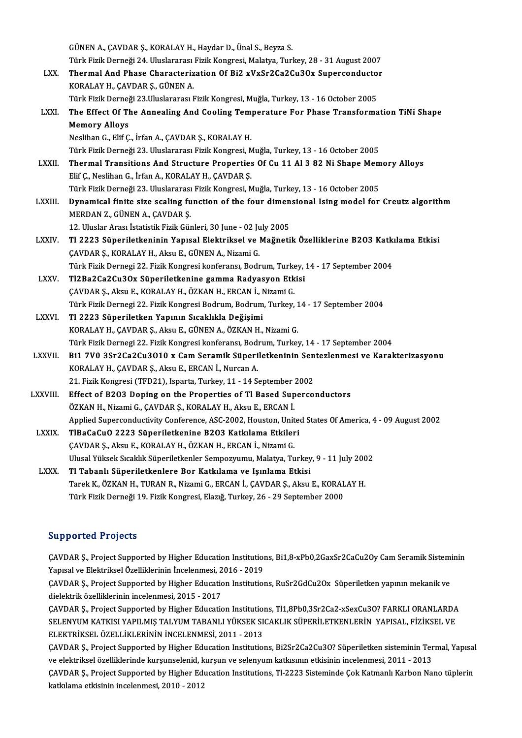|                  | GÜNEN A., ÇAVDAR Ş., KORALAY H., Haydar D., Ünal S., Beyza S.                                         |
|------------------|-------------------------------------------------------------------------------------------------------|
|                  | Türk Fizik Derneği 24. Uluslararası Fizik Kongresi, Malatya, Turkey, 28 - 31 August 2007              |
| LXX.             | Thermal And Phase Characterization Of Bi2 xVxSr2Ca2Cu3Ox Superconductor                               |
|                  | KORALAY H., ÇAVDAR Ş., GÜNEN A.                                                                       |
|                  | Türk Fizik Derneği 23.Uluslararası Fizik Kongresi, Muğla, Turkey, 13 - 16 October 2005                |
| LXXI.            | The Effect Of The Annealing And Cooling Temperature For Phase Transformation TiNi Shape               |
|                  | <b>Memory Alloys</b>                                                                                  |
|                  | Neslihan G., Elif Ç., İrfan A., ÇAVDAR Ş., KORALAY H.                                                 |
|                  | Türk Fizik Derneği 23. Uluslararası Fizik Kongresi, Muğla, Turkey, 13 - 16 October 2005               |
| <b>LXXII</b>     | Thermal Transitions And Structure Properties Of Cu 11 Al 3 82 Ni Shape Memory Alloys                  |
|                  | Elif Ç., Neslihan G., İrfan A., KORALAY H., ÇAVDAR Ş.                                                 |
|                  | Türk Fizik Derneği 23. Uluslararası Fizik Kongresi, Muğla, Turkey, 13 - 16 October 2005               |
| LXXIII.          | Dynamical finite size scaling function of the four dimensional Ising model for Creutz algorithm       |
|                  | MERDAN Z., GÜNEN A., ÇAVDAR Ş.                                                                        |
|                  | 12. Uluslar Arası İstatistik Fizik Günleri, 30 June - 02 July 2005                                    |
| <b>LXXIV</b>     | Tl 2223 Süperiletkeninin Yapısal Elektriksel ve Mağnetik Özelliklerine B203 Katkılama Etkisi          |
|                  | ÇAVDAR Ş., KORALAY H., Aksu E., GÜNEN A., Nizami G.                                                   |
|                  | Türk Fizik Dernegi 22. Fizik Kongresi konferansı, Bodrum, Turkey, 14 - 17 September 2004              |
| LXXV.            | Tl2Ba2Ca2Cu3Ox Süperiletkenine gamma Radyasyon Etkisi                                                 |
|                  | ÇAVDAR Ş., Aksu E., KORALAY H., ÖZKAN H., ERCAN İ., Nizami G.                                         |
|                  | Türk Fizik Dernegi 22. Fizik Kongresi Bodrum, Bodrum, Turkey, 14 - 17 September 2004                  |
| <b>LXXVI</b>     | Tl 2223 Süperiletken Yapının Sıcaklıkla Değişimi                                                      |
|                  | KORALAY H., ÇAVDAR Ş., Aksu E., GÜNEN A., ÖZKAN H., Nizami G.                                         |
|                  | Türk Fizik Dernegi 22. Fizik Kongresi konferansı, Bodrum, Turkey, 14 - 17 September 2004              |
| <b>LXXVII</b>    | Bi1 7V0 3Sr2Ca2Cu3O10 x Cam Seramik Süperiletkeninin Sentezlenmesi ve Karakterizasyonu                |
|                  | KORALAY H., ÇAVDAR Ş., Aksu E., ERCAN İ., Nurcan A.                                                   |
|                  | 21. Fizik Kongresi (TFD21), Isparta, Turkey, 11 - 14 September 2002                                   |
| <b>LXXVIII</b> . | Effect of B203 Doping on the Properties of Tl Based Superconductors                                   |
|                  | ÖZKAN H., Nizami G., ÇAVDAR Ş., KORALAY H., Aksu E., ERCAN İ.                                         |
|                  | Applied Superconductivity Conference, ASC-2002, Houston, United States Of America, 4 - 09 August 2002 |
| <b>LXXIX</b>     | TIBaCaCuO 2223 Süperiletkenine B203 Katkılama Etkileri                                                |
|                  | ÇAVDAR Ş., Aksu E., KORALAY H., ÖZKAN H., ERCAN İ., Nizami G.                                         |
|                  | Ulusal Yüksek Sıcaklık Süperiletkenler Sempozyumu, Malatya, Turkey, 9 - 11 July 2002                  |
| <b>LXXX</b>      | Tl Tabanlı Süperiletkenlere Bor Katkılama ve Işınlama Etkisi                                          |
|                  | Tarek K., ÖZKAN H., TURAN R., Nizami G., ERCAN İ., ÇAVDAR Ş., Aksu E., KORALAY H.                     |
|                  | Türk Fizik Derneği 19. Fizik Kongresi, Elazığ, Turkey, 26 - 29 September 2000                         |

#### Supported Projects

Supported Projects<br>ÇAVDAR Ş., Project Supported by Higher Education Institutions, Bi1,8-xPb0,2GaxSr2CaCu2Oy Cam Seramik Sisteminin<br>Xanısal ve Elektriksel Özelliklerinin İnselenmesi, 3016, ...2019 Yapporteer Indjects<br>CAVDAR Ş., Project Supported by Higher Education Institution<br>Yapısal ve Elektriksel Özelliklerinin İncelenmesi, 2016 - 2019<br>CAVDAR S. Project Supported by Higher Education Institution ÇAVDAR Ş., Project Supported by Higher Education Institutions, Bi1,8-xPb0,2GaxSr2CaCu2Oy Cam Seramik Sistemi<br>Yapısal ve Elektriksel Özelliklerinin İncelenmesi, 2016 - 2019<br>ÇAVDAR Ş., Project Supported by Higher Education I

Yapısal ve Elektriksel Özelliklerinin İncelenmesi, 2<br>ÇAVDAR Ş., Project Supported by Higher Educatic<br>dielektrik özelliklerinin incelenmesi, 2015 - 2017<br>CAVDAR S. Project Supported by Higher Educatic ÇAVDAR Ş., Project Supported by Higher Education Institutions, RuSr2GdCu2Ox Süperiletken yapının mekanik ve<br>dielektrik özelliklerinin incelenmesi, 2015 - 2017<br>ÇAVDAR Ş., Project Supported by Higher Education Institutions,

dielektrik özelliklerinin incelenmesi, 2015 - 2017<br>ÇAVDAR Ş., Project Supported by Higher Education Institutions, Tl1,8Pb0,3Sr2Ca2-xSexCu3O? FARKLI ORANLARDA<br>SELENYUM KATKISI YAPILMIŞ TALYUM TABANLI YÜKSEK SICAKLIK SÜPERİL ÇAVDAR Ş., Project Supported by Higher Education Institution<br>SELENYUM KATKISI YAPILMIŞ TALYUM TABANLI YÜKSEK SI<br>ELEKTRİKSEL ÖZELLİKLERİNİN İNCELENMESİ, 2011 - 2013<br>CAVDAR S. Project Supported by Higher Education Institutio SELENYUM KATKISI YAPILMIŞ TALYUM TABANLI YÜKSEK SICAKLIK SÜPERİLETKENLERİN YAPISAL, FİZİKSEL VE<br>ELEKTRİKSEL ÖZELLİKLERİNİN İNCELENMESİ, 2011 - 2013<br>ÇAVDAR Ş., Project Supported by Higher Education Institutions, Bi2Sr2Ca2C

ELEKTRİKSEL ÖZELLİKLERİNİN İNCELENMESİ, 2011 - 2013<br>ÇAVDAR Ş., Project Supported by Higher Education Institutions, Bi2Sr2Ca2Cu3O? Süperiletken sisteminin Ter<br>ve elektriksel özelliklerinde kurşunselenid, kurşun ve selenyum ÇAVDAR Ş., Project Supported by Higher Education Institutions, Bi2Sr2Ca2Cu3O? Süperiletken sisteminin Termal, Yapısal<br>ve elektriksel özelliklerinde kurşunselenid, kurşun ve selenyum katkısının etkisinin incelenmesi, 2011 ve elektriksel özelliklerinde kurşunselenid, kurşun ve selenyum katkısının etkisinin incelenmesi, 2011 - 2013<br>ÇAVDAR Ş., Project Supported by Higher Education Institutions, Tl-2223 Sisteminde Çok Katmanlı Karbon Nano tüple